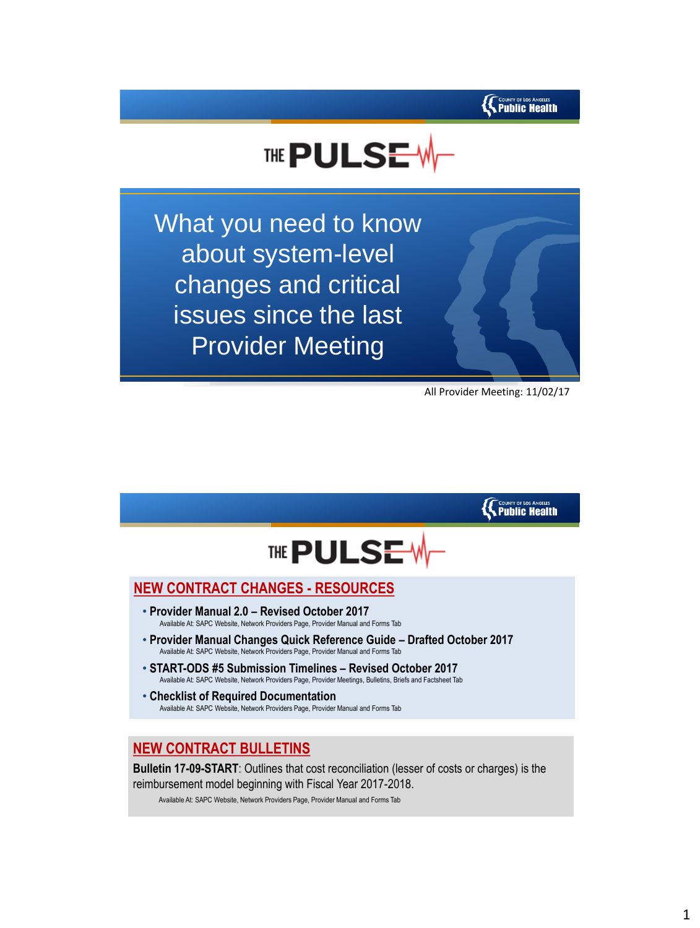



What you need to know about system-level changes and critical issues since the last Provider Meeting

All Provider Meeting: 11/02/17

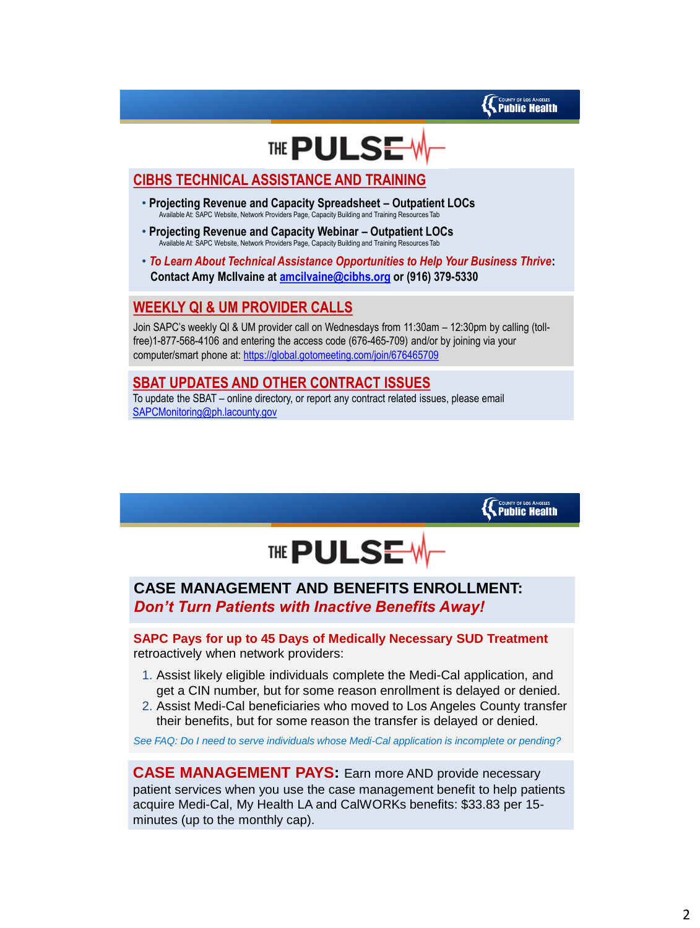



### **CIBHS TECHNICAL ASSISTANCE AND TRAINING**

- **Projecting Revenue and Capacity Spreadsheet – Outpatient LOCs**  Available At: SAPC Website, Network Providers Page, Capacity Building and Training Resources Tab
- **Projecting Revenue and Capacity Webinar – Outpatient LOCs**  Available At: SAPC Website, Network Providers Page, Capacity Building and Training Resources Tab
- *To Learn About Technical Assistance Opportunities to Help Your Business Thrive***: Contact Amy McIlvaine at [amcilvaine@cibhs.org](mailto:amcilvaine@cibhs.org) or (916) 379-5330**

### **WEEKLY QI & UM PROVIDER CALLS**

Join SAPC's weekly QI & UM provider call on Wednesdays from 11:30am – 12:30pm by calling (tollfree)1-877-568-4106 and entering the access code (676-465-709) and/or by joining via your computer/smart phone at: <https://global.gotomeeting.com/join/676465709>

### **SBAT UPDATES AND OTHER CONTRACT ISSUES**

To update the SBAT – online directory, or report any contract related issues, please email [SAPCMonitoring@ph.lacounty.gov](mailto:SAPCMonitoring@ph.lacounty.gov)

**K** COUNTY OF LOS ANGELES



## **CASE MANAGEMENT AND BENEFITS ENROLLMENT:**  *Don't Turn Patients with Inactive Benefits Away!*

**SAPC Pays for up to 45 Days of Medically Necessary SUD Treatment**  retroactively when network providers:

- 1. Assist likely eligible individuals complete the Medi-Cal application, and get a CIN number, but for some reason enrollment is delayed or denied.
- 2. Assist Medi-Cal beneficiaries who moved to Los Angeles County transfer their benefits, but for some reason the transfer is delayed or denied.

*See FAQ: Do I need to serve individuals whose Medi-Cal application is incomplete or pending?* 

**CASE MANAGEMENT PAYS:** Earn more AND provide necessary patient services when you use the case management benefit to help patients acquire Medi-Cal, My Health LA and CalWORKs benefits: \$33.83 per 15 minutes (up to the monthly cap).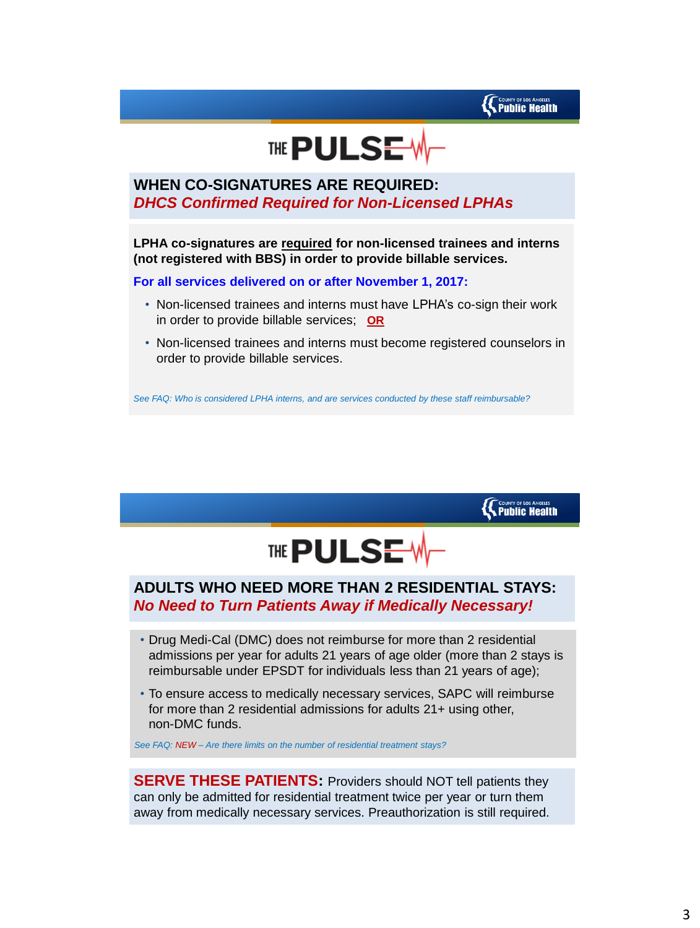



## **WHEN CO-SIGNATURES ARE REQUIRED:**  *DHCS Confirmed Required for Non-Licensed LPHAs*

**LPHA co-signatures are required for non-licensed trainees and interns (not registered with BBS) in order to provide billable services.**

**For all services delivered on or after November 1, 2017:** 

- Non-licensed trainees and interns must have LPHA's co-sign their work in order to provide billable services; **OR**
- Non-licensed trainees and interns must become registered counselors in order to provide billable services.

*See FAQ: Who is considered LPHA interns, and are services conducted by these staff reimbursable?* 

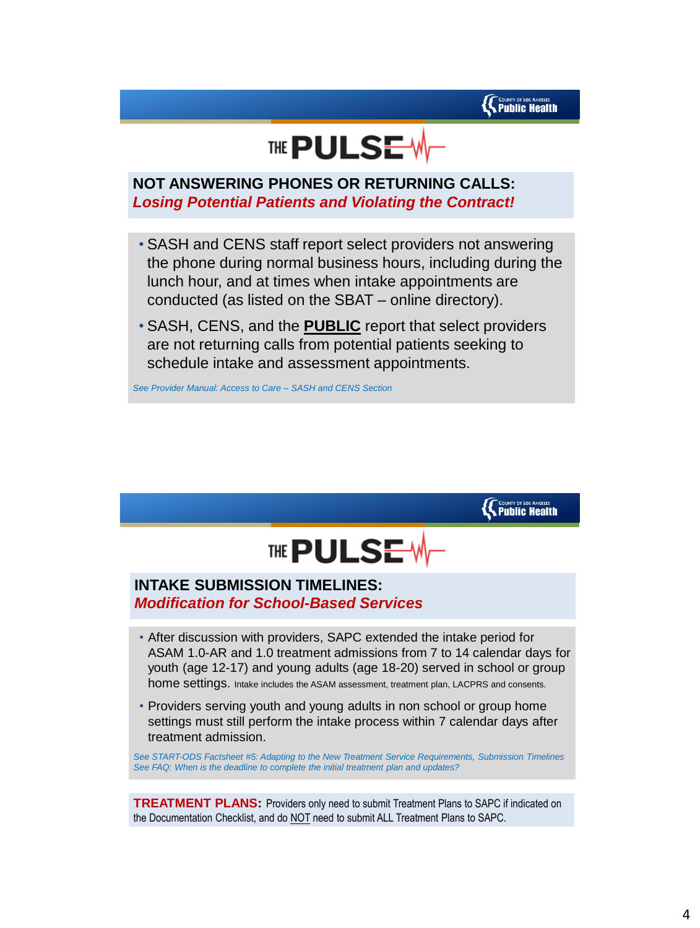

## **NOT ANSWERING PHONES OR RETURNING CALLS:**  *Losing Potential Patients and Violating the Contract!*

- SASH and CENS staff report select providers not answering the phone during normal business hours, including during the lunch hour, and at times when intake appointments are conducted (as listed on the SBAT – online directory).
- SASH, CENS, and the **PUBLIC** report that select providers are not returning calls from potential patients seeking to schedule intake and assessment appointments.

*See Provider Manual: Access to Care – SASH and CENS Section*